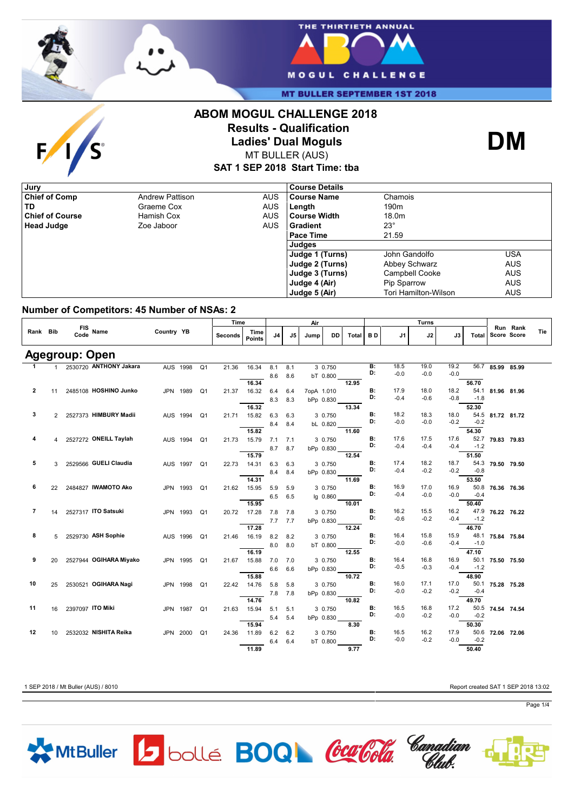



**MT BULLER SEPTEMBER 1ST 2018** 

# $\mathbf{F}$ /S





MT BULLER (AUS)

**SAT 1 SEP 2018 Start Time: tba**

| , Jury                 |                        |            | <b>Course Details</b> |                       |            |
|------------------------|------------------------|------------|-----------------------|-----------------------|------------|
| <b>Chief of Comp</b>   | <b>Andrew Pattison</b> | <b>AUS</b> | <b>Course Name</b>    | Chamois               |            |
| TD                     | Graeme Cox             | AUS        | Length                | 190 <sub>m</sub>      |            |
| <b>Chief of Course</b> | Hamish Cox             | <b>AUS</b> | l Course Width        | 18.0m                 |            |
| <b>Head Judge</b>      | Zoe Jaboor             | <b>AUS</b> | l Gradient            | $23^{\circ}$          |            |
|                        |                        |            | Pace Time             | 21.59                 |            |
|                        |                        |            | Judges                |                       |            |
|                        |                        |            | Judge 1 (Turns)       | John Gandolfo         | USA        |
|                        |                        |            | Judge 2 (Turns)       | Abbey Schwarz         | <b>AUS</b> |
|                        |                        |            | Judge 3 (Turns)       | <b>Campbell Cooke</b> | <b>AUS</b> |
|                        |                        |            | Judge 4 (Air)         | <b>Pip Sparrow</b>    | <b>AUS</b> |
|                        |                        |            | Judge 5 (Air)         | Tori Hamilton-Wilson  | <b>AUS</b> |

### **Number of Competitors: 45 Number of NSAs: 2**

|                |                 |                        |            |                            |                | Time                  |             |     | Air        |           |       | Turns     |        |        |        |        |                               |                         |     |
|----------------|-----------------|------------------------|------------|----------------------------|----------------|-----------------------|-------------|-----|------------|-----------|-------|-----------|--------|--------|--------|--------|-------------------------------|-------------------------|-----|
| Rank Bib       |                 | FIS Name               | Country YB |                            | <b>Seconds</b> | Time<br><b>Points</b> | J4          | J5  | Jump       | DD        | Total | BD.       | J1     | J2     | J3     | Total  |                               | Run Rank<br>Score Score | Tie |
|                |                 | <b>Agegroup: Open</b>  |            |                            |                |                       |             |     |            |           |       |           |        |        |        |        |                               |                         |     |
| 1              | 1               | 2530720 ANTHONY Jakara |            | Q1<br>AUS 1998             | 21.36          | 16.34                 | 8.1         | 8.1 |            | 3 0.750   |       | B:        | 18.5   | 19.0   | 19.2   |        | $\overline{56.7}$ 85.99 85.99 |                         |     |
|                |                 |                        |            |                            |                |                       | 8.6         | 8.6 |            | bT 0.800  |       | D:        | $-0.0$ | $-0.0$ | $-0.0$ |        |                               |                         |     |
|                |                 |                        |            |                            |                | 16.34                 |             |     |            |           | 12.95 |           |        |        |        | 56.70  |                               |                         |     |
| $\overline{2}$ | 11              | 2485108 HOSHINO Junko  |            | JPN 1989<br>Q <sub>1</sub> | 21.37          | 16.32                 | 6.4         | 6.4 | 7opA 1.010 |           |       | <b>B:</b> | 17.9   | 18.0   | 18.2   |        | 54.1 81.96 81.96              |                         |     |
|                |                 |                        |            |                            |                |                       | 8.3         | 8.3 |            | bPp 0.830 |       | D:        | $-0.4$ | $-0.6$ | $-0.8$ | $-1.8$ |                               |                         |     |
|                |                 |                        |            |                            |                | 16.32                 |             |     |            |           | 13.34 |           |        |        |        | 52.30  |                               |                         |     |
| 3              | $\overline{2}$  | 2527373 HIMBURY Madii  |            | AUS 1994<br>Q <sub>1</sub> |                | 21.71 15.82           | 6.3         | 6.3 |            | 3 0.750   |       | <b>B:</b> | 18.2   | 18.3   | 18.0   |        | 54.5 81.72 81.72              |                         |     |
|                |                 |                        |            |                            |                |                       | 8.4         | 8.4 |            | bL 0.820  |       | D:        | $-0.0$ | $-0.0$ | $-0.2$ | $-0.2$ |                               |                         |     |
|                |                 |                        |            |                            |                | 15.82                 |             |     |            |           | 11.60 |           |        |        |        | 54.30  |                               |                         |     |
| 4              |                 | 2527272 ONEILL Taylah  |            | AUS 1994<br>Q1             |                | 21.73 15.79           | $7.1$ $7.1$ |     |            | 3 0.750   |       | <b>B:</b> | 17.6   | 17.5   | 17.6   | 52.7   | 79.83 79.83                   |                         |     |
|                |                 |                        |            |                            |                |                       | 8.7         | 8.7 |            | bPp 0.830 |       | D:        | $-0.4$ | $-0.4$ | $-0.4$ | $-1.2$ |                               |                         |     |
|                |                 |                        |            |                            |                | 15.79                 |             |     |            |           | 12.54 |           |        |        |        | 51.50  |                               |                         |     |
| 5              |                 | 2529566 GUELI Claudia  |            | AUS 1997 Q1                | 22.73          | 14.31                 | 6.3         | 6.3 |            | 3 0.750   |       | <b>B:</b> | 17.4   | 18.2   | 18.7   | 54.3   | 79.50 79.50                   |                         |     |
|                |                 |                        |            |                            |                |                       | 8.4         | 8.4 |            | bPp 0.830 |       | D:        | $-0.4$ | $-0.2$ | $-0.2$ | $-0.8$ |                               |                         |     |
|                |                 |                        |            |                            |                | 14.31                 |             |     |            |           | 11.69 |           |        |        |        | 53.50  |                               |                         |     |
| 6              | 22              | 2484827 IWAMOTO Ako    |            | JPN 1993<br>Q1             |                | 21.62 15.95           | 5.9         | 5.9 |            | 3 0.750   |       | <b>B:</b> | 16.9   | 17.0   | 16.9   |        | 50.8 76.36 76.36              |                         |     |
|                |                 |                        |            |                            |                |                       | 6.5         | 6.5 |            | lg 0.860  |       | D:        | $-0.4$ | $-0.0$ | -0.0   | $-0.4$ |                               |                         |     |
|                |                 |                        |            |                            |                | 15.95                 |             |     |            |           | 10.01 |           |        |        |        | 50.40  |                               |                         |     |
| $\overline{7}$ | 14              | 2527317 ITO Satsuki    |            | JPN 1993<br>Q1             |                | 20.72 17.28           | 7.8         | 7.8 |            | 3 0.750   |       | <b>B:</b> | 16.2   | 15.5   | 16.2   | 47.9   | 76.22 76.22                   |                         |     |
|                |                 |                        |            |                            |                |                       | 7.7         | 7.7 |            | bPp 0.830 |       | D:        | $-0.6$ | $-0.2$ | $-0.4$ | $-1.2$ |                               |                         |     |
|                |                 |                        |            |                            |                | 17.28                 |             |     |            |           | 12.24 |           |        |        |        | 46.70  |                               |                         |     |
| 8              | 5               | 2529730 ASH Sophie     |            | AUS 1996<br>$\Omega$ 1     |                | 21.46 16.19           | 8.2         | 8.2 |            | 3 0.750   |       | <b>B:</b> | 16.4   | 15.8   | 15.9   | 48.1   | 75.84 75.84                   |                         |     |
|                |                 |                        |            |                            |                |                       | 8.0         | 8.0 |            | bT 0.800  |       | D:        | $-0.0$ | $-0.6$ | $-0.4$ | $-1.0$ |                               |                         |     |
|                |                 |                        |            |                            |                | 16.19                 |             |     |            |           | 12.55 |           |        |        |        | 47.10  |                               |                         |     |
| 9              | 20              | 2527944 OGIHARA Miyako |            | JPN 1995<br>Q1             | 21.67          | 15.88                 | 7.0         | 7.0 |            | 3 0.750   |       | <b>B:</b> | 16.4   | 16.8   | 16.9   | 50.1   | 75.50 75.50                   |                         |     |
|                |                 |                        |            |                            |                |                       | 6.6         | 6.6 |            | bPp 0.830 |       | D:        | $-0.5$ | $-0.3$ | $-0.4$ | $-1.2$ |                               |                         |     |
|                |                 |                        |            |                            |                | 15.88                 |             |     |            |           | 10.72 |           |        |        |        | 48.90  |                               |                         |     |
| 10             | 25              | 2530521 OGIHARA Nagi   |            | JPN 1998<br>Q <sub>1</sub> |                | 22.42 14.76           | 5.8         | 5.8 |            | 3 0.750   |       | <b>B:</b> | 16.0   | 17.1   | 17.0   | 50.1   | 75.28 75.28                   |                         |     |
|                |                 |                        |            |                            |                |                       | 7.8         | 7.8 |            | bPp 0.830 |       | D:        | $-0.0$ | $-0.2$ | $-0.2$ | $-0.4$ |                               |                         |     |
|                |                 |                        |            |                            |                | 14.76                 |             |     |            |           | 10.82 |           |        |        |        | 49.70  |                               |                         |     |
| 11             | 16              | 2397097 ITO Miki       |            | JPN 1987<br>Q1             |                | 21.63 15.94           | 5.1         | 5.1 |            | 3 0.750   |       | <b>B:</b> | 16.5   | 16.8   | 17.2   |        | 50.5 74.54 74.54              |                         |     |
|                |                 |                        |            |                            |                |                       | 5.4         | 5.4 |            | bPp 0.830 |       | D:        | $-0.0$ | $-0.2$ | $-0.0$ | $-0.2$ |                               |                         |     |
|                |                 |                        |            |                            |                | 15.94                 |             |     |            |           | 8.30  |           |        |        |        | 50.30  |                               |                         |     |
| 12             | 10 <sup>1</sup> | 2532032 NISHITA Reika  |            | JPN 2000 Q1                | 24.36          | 11.89                 | 6.2         | 6.2 |            | 3 0.750   |       | <b>B:</b> | 16.5   | 16.2   | 17.9   | 50.6   | 72.06 72.06                   |                         |     |
|                |                 |                        |            |                            |                |                       | 6.4         | 6.4 |            | bT 0.800  |       | D:        | $-0.0$ | $-0.2$ | $-0.0$ | $-0.2$ |                               |                         |     |
|                |                 |                        |            |                            |                | 11.89                 |             |     |            |           | 9.77  |           |        |        |        | 50.40  |                               |                         |     |

1 SEP 2018 / Mt Buller (AUS) / 8010 Report created SAT 1 SEP 2018 13:02

Page 1/4

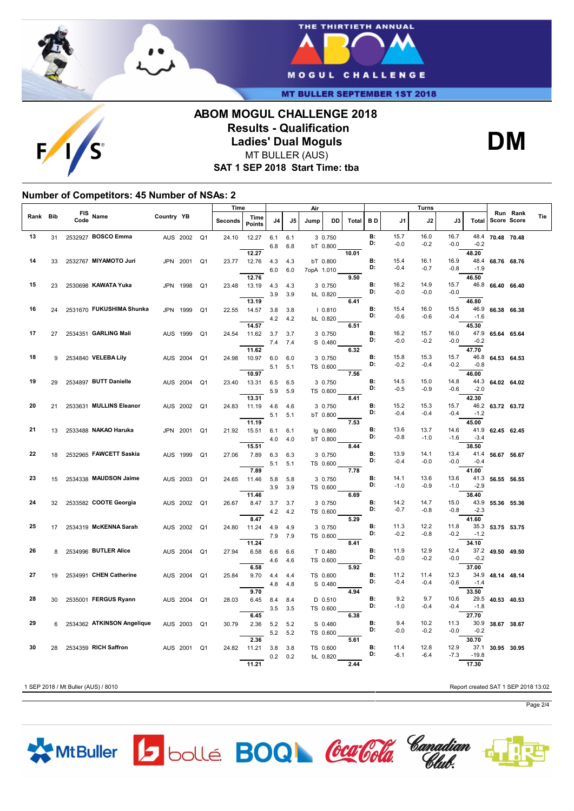

 $F/1$ 



**MT BULLER SEPTEMBER 1ST 2018** 

## **ABOM MOGUL CHALLENGE 2018 Results - Qualification Ladies' Dual Moguls** MT BULLER (AUS)



**SAT 1 SEP 2018 Start Time: tba**

### **Number of Competitors: 45 Number of NSAs: 2**

|      |            |                    |                            |                   |          |                | Time    |                       | Air        |            |            | Turns               |       |                 |                |                |                | Run Rank       |                  |             |     |
|------|------------|--------------------|----------------------------|-------------------|----------|----------------|---------|-----------------------|------------|------------|------------|---------------------|-------|-----------------|----------------|----------------|----------------|----------------|------------------|-------------|-----|
| Rank | <b>Bib</b> | <b>FIS</b><br>Code | Name                       | <b>Country YB</b> |          |                | Seconds | Time<br><b>Points</b> | J4         | J5         | Jump       | DD                  | Total | B D             | J1             | J2             | J3             | Total          |                  | Score Score | Tie |
| 13   | 31         |                    | 2532927 BOSCO Emma         |                   | AUS 2002 | Q <sub>1</sub> | 24.10   | 12.27                 | 6.1<br>6.8 | 6.1<br>6.8 |            | 3 0.750<br>bT 0.800 |       | <b>B:</b><br>D: | 15.7<br>$-0.0$ | 16.0<br>$-0.2$ | 16.7<br>$-0.0$ | 48.4<br>$-0.2$ | 70.48 70.48      |             |     |
|      |            |                    |                            |                   |          |                |         | 12.27                 |            |            |            |                     | 10.01 |                 |                |                |                | 48.20          |                  |             |     |
| 14   | 33         |                    | 2532767 MIYAMOTO Juri      |                   | JPN 2001 | Q <sub>1</sub> | 23.77   | 12.76                 | 4.3        | 4.3        |            | bT 0.800            |       | <b>B:</b>       | 15.4           | 16.1           | 16.9           |                | 48.4 68.76 68.76 |             |     |
|      |            |                    |                            |                   |          |                |         |                       | 6.0        | 6.0        | 7opA 1.010 |                     |       | D:              | $-0.4$         | $-0.7$         | $-0.8$         | $-1.9$         |                  |             |     |
|      |            |                    |                            |                   |          |                |         | 12.76                 |            |            |            |                     | 9.50  |                 |                |                |                | 46.50          |                  |             |     |
| 15   | 23         |                    | 2530698 KAWATA Yuka        | JPN 1998          |          | Q1             | 23.48   | 13.19                 | 4.3        | 4.3        |            | 3 0.750             |       | B:              | 16.2           | 14.9           | 15.7           |                | 46.8 66.40 66.40 |             |     |
|      |            |                    |                            |                   |          |                |         |                       | 3.9        | 3.9        |            | bL 0.820            |       | D:              | $-0.0$         | $-0.0$         | $-0.0$         |                |                  |             |     |
|      |            |                    |                            |                   |          |                |         | 13.19                 |            |            |            |                     | 6.41  |                 |                |                |                | 46.80          |                  |             |     |
| 16   | 24         |                    | 2531670 FUKUSHIMA Shunka   | JPN 1999          |          | Q <sub>1</sub> | 22.55   | 14.57                 | 3.8        | 3.8        |            | 10.810              |       | <b>B:</b>       | 15.4           | 16.0           | 15.5           |                | 46.9 66.38 66.38 |             |     |
|      |            |                    |                            |                   |          |                |         |                       | 4.2        | 4.2        |            | bL 0.820            |       | D:              | $-0.6$         | $-0.6$         | $-0.4$         | $-1.6$         |                  |             |     |
|      |            |                    |                            |                   |          |                |         | 14.57                 |            |            |            |                     | 6.51  |                 |                |                |                | 45.30          |                  |             |     |
| 17   | 27         |                    | 2534351 GARLING Mali       | AUS 1999          |          | Q <sub>1</sub> | 24.54   | 11.62                 | 3.7        | 3.7        |            | 3 0.750             |       | В:<br>D:        | 16.2<br>$-0.0$ | 15.7           | 16.0           |                | 47.9 65.64 65.64 |             |     |
|      |            |                    |                            |                   |          |                |         |                       | 7.4        | 7.4        |            | S 0.480             |       |                 |                | $-0.2$         | $-0.0$         | $-0.2$         |                  |             |     |
|      |            |                    |                            |                   |          |                |         | 11.62                 |            |            |            |                     | 6.32  | B:              |                |                |                | 47.70          |                  |             |     |
| 18   | 9          |                    | 2534840 VELEBA Lily        | AUS 2004          |          | Q <sub>1</sub> | 24.98   | 10.97                 | 6.0        | 6.0        |            | 3 0.750             |       | D:              | 15.8<br>$-0.2$ | 15.3<br>$-0.4$ | 15.7<br>$-0.2$ | $-0.8$         | 46.8 64.53 64.53 |             |     |
|      |            |                    |                            |                   |          |                |         | 10.97                 | 5.1        | 5.1        |            | TS 0.600            | 7.56  |                 |                |                |                | 46.00          |                  |             |     |
| 19   | 29         |                    | 2534897 BUTT Danielle      | AUS 2004          |          | Q <sub>1</sub> | 23.40   | 13.31                 | 6.5        | 6.5        |            | 3 0.750             |       | <b>B:</b>       | 14.5           | 15.0           | 14.8           |                | 44.3 64.02 64.02 |             |     |
|      |            |                    |                            |                   |          |                |         |                       |            |            |            |                     |       | D:              | $-0.5$         | $-0.9$         | $-0.6$         | $-2.0$         |                  |             |     |
|      |            |                    |                            |                   |          |                |         | 13.31                 | 5.9        | 5.9        |            | TS 0.600            | 8.41  |                 |                |                |                | 42.30          |                  |             |     |
| 20   | 21         |                    | 2533631 MULLINS Eleanor    |                   | AUS 2002 | Q <sub>1</sub> | 24.83   | 11.19                 | 4.6        | 4.6        |            | 3 0.750             |       | B:              | 15.2           | 15.3           | 15.7           |                | 46.2 63.72 63.72 |             |     |
|      |            |                    |                            |                   |          |                |         |                       | 5.1        | 5.1        |            | bT 0.800            |       | D:              | $-0.4$         | $-0.4$         | $-0.4$         | $-1.2$         |                  |             |     |
|      |            |                    |                            |                   |          |                |         | 11.19                 |            |            |            |                     | 7.53  |                 |                |                |                | 45.00          |                  |             |     |
| 21   | 13         |                    | 2533488 NAKAO Haruka       |                   | JPN 2001 | Q <sub>1</sub> | 21.92   | 15.51                 | 6.1        | 6.1        |            | lg 0.860            |       | B:              | 13.6           | 13.7           | 14.6           | 41.9           | 62.45 62.45      |             |     |
|      |            |                    |                            |                   |          |                |         |                       | 4.0        | 4.0        |            | bT 0.800            |       | D:              | $-0.8$         | $-1.0$         | $-1.6$         | $-3.4$         |                  |             |     |
|      |            |                    |                            |                   |          |                |         | 15.51                 |            |            |            |                     | 8.44  |                 |                |                |                | 38.50          |                  |             |     |
| 22   | 18         |                    | 2532965 FAWCETT Saskia     |                   | AUS 1999 | Q1             | 27.06   | 7.89                  | 6.3        | 6.3        |            | 3 0.750             |       | <b>B:</b>       | 13.9           | 14.1           | 13.4           | 41.4           | 56.67 56.67      |             |     |
|      |            |                    |                            |                   |          |                |         |                       | 5.1        | 5.1        |            | TS 0.600            |       | D:              | $-0.4$         | $-0.0$         | $-0.0$         | $-0.4$         |                  |             |     |
|      |            |                    |                            |                   |          |                |         | 7.89                  |            |            |            |                     | 7.78  |                 |                |                |                | 41.00          |                  |             |     |
| 23   | 15         |                    | 2534338 MAUDSON Jaime      |                   | AUS 2003 | Q <sub>1</sub> | 24.65   | 11.46                 | 5.8        | 5.8        |            | 3 0.750             |       | В:              | 14.1           | 13.6           | 13.6           |                | 41.3 56.55 56.55 |             |     |
|      |            |                    |                            |                   |          |                |         |                       | 3.9        | 3.9        |            | TS 0.600            |       | D:              | $-1.0$         | $-0.9$         | $-1.0$         | $-2.9$         |                  |             |     |
|      |            |                    |                            |                   |          |                |         | 11.46                 |            |            |            |                     | 6.69  |                 |                |                |                | 38.40          |                  |             |     |
| 24   | 32         |                    | 2533582 COOTE Georgia      |                   | AUS 2002 | Q1             | 26.67   | 8.47                  | 3.7        | 3.7        |            | 3 0.750             |       | В:              | 14.2           | 14.7           | 15.0           | 43.9           | 55.36 55.36      |             |     |
|      |            |                    |                            |                   |          |                |         |                       | 4.2        | 4.2        |            | TS 0.600            |       | D:              | $-0.7$         | $-0.8$         | $-0.8$         | $-2.3$         |                  |             |     |
|      |            |                    |                            |                   |          |                |         | 8.47                  |            |            |            |                     | 5.29  |                 |                |                |                | 41.60          |                  |             |     |
| 25   | 17         |                    | 2534319 McKENNA Sarah      |                   | AUS 2002 | Q1             | 24.80   | 11.24                 | 4.9        | 4.9        |            | 3 0.750             |       | <b>B:</b><br>D: | 11.3           | 12.2           | 11.8           | 35.3           | 53.75 53.75      |             |     |
|      |            |                    |                            |                   |          |                |         |                       | 7.9        | 7.9        |            | TS 0.600            |       |                 | $-0.2$         | $-0.8$         | $-0.2$         | $-1.2$         |                  |             |     |
|      |            |                    |                            |                   |          |                |         | 11.24                 |            |            |            |                     | 8.41  |                 |                |                |                | 34.10          |                  |             |     |
| 26   | 8          |                    | 2534996 BUTLER Alice       | AUS 2004          |          | Q <sub>1</sub> | 27.94   | 6.58                  | 6.6        | 6.6        |            | T 0.480             |       | <b>B:</b><br>D: | 11.9<br>$-0.0$ | 12.9<br>$-0.2$ | 12.4<br>$-0.0$ | $-0.2$         | 37.2 49.50 49.50 |             |     |
|      |            |                    |                            |                   |          |                |         | 6.58                  | 4.6        | 4.6        |            | TS 0.600            | 5.92  |                 |                |                |                | 37.00          |                  |             |     |
| 27   | 19         |                    | 2534991 CHEN Catherine     |                   | AUS 2004 | Q <sub>1</sub> | 25.84   | 9.70                  | 4.4        |            |            | TS 0.600            |       | <b>B:</b>       | 11.2           | 11.4           | 12.3           | 34.9           | 48.14 48.14      |             |     |
|      |            |                    |                            |                   |          |                |         |                       |            | 4.4        |            |                     |       | D:              | $-0.4$         | $-0.4$         | $-0.6$         | $-1.4$         |                  |             |     |
|      |            |                    |                            |                   |          |                |         | 9.70                  | 4.8        | 4.8        |            | S 0.480             | 4.94  |                 |                |                |                | 33.50          |                  |             |     |
| 28   | 30         |                    | 2535001 FERGUS Ryann       | AUS 2004          |          | Q <sub>1</sub> | 28.03   | 6.45                  | 8.4        | 8.4        |            | $D$ 0.510           |       | B:              | 9.2            | 9.7            | 10.6           | 29.5           | 40.53 40.53      |             |     |
|      |            |                    |                            |                   |          |                |         |                       | 3.5        | 3.5        |            | TS 0.600            |       | D:              | $-1.0$         | $-0.4$         | $-0.4$         | $-1.8$         |                  |             |     |
|      |            |                    |                            |                   |          |                |         | 6.45                  |            |            |            |                     | 6.38  |                 |                |                |                | 27.70          |                  |             |     |
| 29   | 6          |                    | 2534362 ATKINSON Angelique |                   | AUS 2003 | Q <sub>1</sub> | 30.79   | 2.36                  | 5.2        | 5.2        |            | S 0.480             |       | <b>B:</b>       | 9.4            | 10.2           | 11.3           | 30.9           | 38.67 38.67      |             |     |
|      |            |                    |                            |                   |          |                |         |                       | 5.2        | 5.2        |            | TS 0.600            |       | D:              | $-0.0$         | $-0.2$         | $-0.0$         | $-0.2$         |                  |             |     |
|      |            |                    |                            |                   |          |                |         | 2.36                  |            |            |            |                     | 5.61  |                 |                |                |                | 30.70          |                  |             |     |
| 30   | 28         |                    | 2534359 RICH Saffron       |                   | AUS 2001 | Q <sub>1</sub> | 24.82   | 11.21                 | 3.8        | 3.8        |            | TS 0.600            |       | <b>B:</b>       | 11.4           | 12.8           | 12.9           |                | 37.1 30.95 30.95 |             |     |
|      |            |                    |                            |                   |          |                |         |                       | 0.2        | 0.2        |            | bL 0.820            |       | D:              | $-6.1$         | $-6.4$         | $-7.3$         | $-19.8$        |                  |             |     |
|      |            |                    |                            |                   |          |                |         | 11.21                 |            |            |            |                     | 2.44  |                 |                |                |                | 17.30          |                  |             |     |

1 SEP 2018 / Mt Buller (AUS) / 8010 Report created SAT 1 SEP 2018 13:02



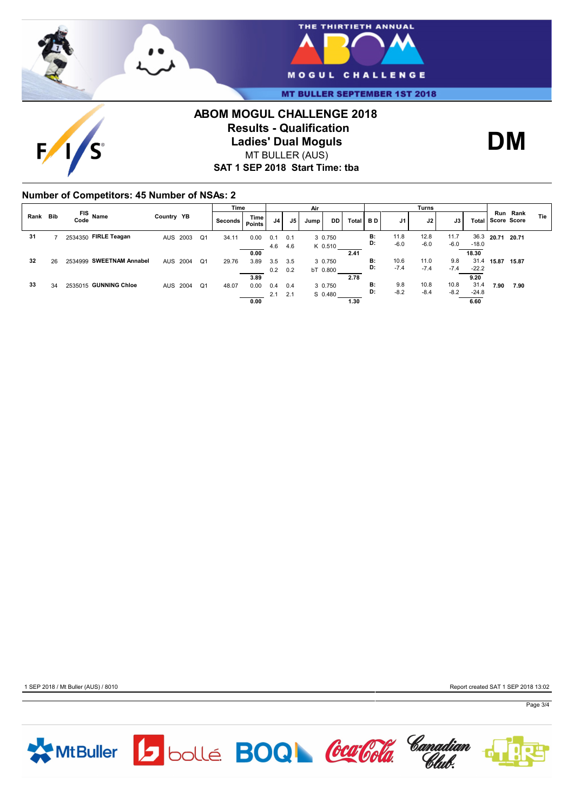



**MT BULLER SEPTEMBER 1ST 2018** 

## **ABOM MOGUL CHALLENGE 2018 Results - Qualification Ladies' Dual Moguls** MT BULLER (AUS)



**SAT 1 SEP 2018 Start Time: tba**

### **Number of Competitors: 45 Number of NSAs: 2**

 $\mathbf{F}$ 

|      |            |                          |            |  |                | Time      |                       | Air            |     |        |          | Turns |                |                |                |                |                 |                   |          |     |  |  |
|------|------------|--------------------------|------------|--|----------------|-----------|-----------------------|----------------|-----|--------|----------|-------|----------------|----------------|----------------|----------------|-----------------|-------------------|----------|-----|--|--|
| Rank | <b>Bib</b> | FIS Name<br>Code         | Country YB |  |                | Seconds I | <b>Time</b><br>Points | J <sub>4</sub> | J5  | Jump ' | DD.      | Total | B <sub>D</sub> | J1             | J2             | J3             |                 | Total Score Score | Run Rank | Tie |  |  |
| 31   |            | 2534350 FIRLE Teagan     | AUS 2003   |  | Q <sub>1</sub> | 34.11     | 0.00                  | 0.1            | 0.1 |        | 3 0.750  |       | B:<br>D:       | 11.8<br>$-6.0$ | 12.8<br>$-6.0$ | 11.7<br>$-6.0$ | 36.3<br>$-18.0$ | 20.71             | 20.71    |     |  |  |
|      |            |                          |            |  |                |           | 0.00                  | 4.6            | 4.6 |        | K 0.510  |       | 2.41           |                |                |                |                 |                   | 18.30    |     |  |  |
| 32   | 26         | 2534999 SWEETNAM Annabel | AUS 2004   |  | Q <sub>1</sub> | 29.76     | 3.89                  | 3.5            | 3.5 |        | 3 0.750  |       | B:             | 10.6           | 11.0           | 9.8            | 31.4            | 15.87             | 15.87    |     |  |  |
|      |            |                          |            |  |                |           | 3.89                  | 0.2            | 0.2 |        | bT 0.800 | 2.78  | D:             | $-7.4$         | $-7.4$         | $-7.4$         | $-22.2$<br>9.20 |                   |          |     |  |  |
| 33   | 34         | 2535015 GUNNING Chloe    | AUS 2004   |  | Q <sub>1</sub> | 48.07     | 0.00                  | 0.4            | 0.4 |        | 3 0.750  |       | B:             | 9.8            | 10.8           | 10.8           | 31.4            | 7.90              | 7.90     |     |  |  |
|      |            |                          |            |  |                |           |                       | 2.1            | 2.1 |        | S 0.480  |       | D:             | $-8.2$         | $-8.4$         | $-8.2$         | $-24.8$         |                   |          |     |  |  |
|      |            |                          |            |  |                |           | 0.00                  |                |     |        |          | 1.30  |                |                |                |                | 6.60            |                   |          |     |  |  |

1 SEP 2018 / Mt Buller (AUS) / 8010 Report created SAT 1 SEP 2018 13:02

Page 3/4